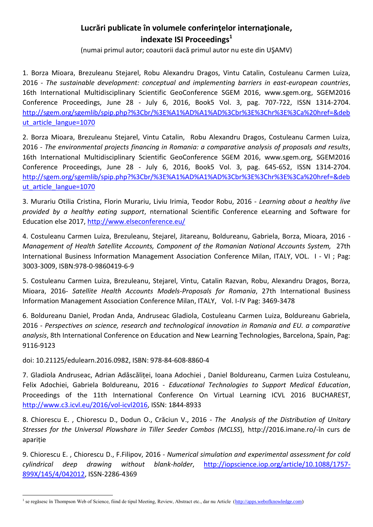## **Lucrări publicate în volumele conferinţelor internaţionale, indexate ISI Proceedings<sup>1</sup>**

(numai primul autor; coautorii dacă primul autor nu este din UŞAMV)

1. Borza Mioara, Brezuleanu Stejarel, Robu Alexandru Dragos, Vintu Catalin, Costuleanu Carmen Luiza, 2016 - *The sustainable development: conceptual and implementing barriers in east-european countries*, 16th International Multidisciplinary Scientific GeoConference SGEM 2016, www.sgem.org, SGEM2016 Conference Proceedings, June 28 - July 6, 2016, Book5 Vol. 3, pag. 707-722, ISSN 1314-2704. [http://sgem.org/sgemlib/spip.php?%3Cbr/%3E%A1%AD%A1%AD%3Cbr%3E%3Chr%3E%3Ca%20href=&deb](http://sgem.org/sgemlib/spip.php?%3Cbr/%3E%A1%AD%A1%AD%3Cbr%3E%3Chr%3E%3Ca%20href=&debut_article_langue=1070) ut article langue=1070

2. Borza Mioara, Brezuleanu Stejarel, Vintu Catalin, Robu Alexandru Dragos, Costuleanu Carmen Luiza, 2016 - *The environmental projects financing in Romania: a comparative analysis of proposals and results*, 16th International Multidisciplinary Scientific GeoConference SGEM 2016, www.sgem.org, SGEM2016 Conference Proceedings, June 28 - July 6, 2016, Book5 Vol. 3, pag. 645-652, ISSN 1314-2704. [http://sgem.org/sgemlib/spip.php?%3Cbr/%3E%A1%AD%A1%AD%3Cbr%3E%3Chr%3E%3Ca%20href=&deb](http://sgem.org/sgemlib/spip.php?%3Cbr/%3E%A1%AD%A1%AD%3Cbr%3E%3Chr%3E%3Ca%20href=&debut_article_langue=1070) ut article langue=1070

3. Murariu Otilia Cristina, Florin Murariu, Liviu Irimia, Teodor Robu, 2016 - *Learning about a healthy live provided by a healthy eating support*, nternational Scientific Conference eLearning and Software for Education else 2017,<http://www.elseconference.eu/>

4. Costuleanu Carmen Luiza, Brezuleanu, Stejarel, Jitareanu, Boldureanu, Gabriela, Borza, Mioara, 2016 - *Management of Health Satellite Accounts, Component of the Romanian National Accounts System,* 27th International Business Information Management Association Conference Milan, ITALY, VOL. I - VI ; Pag: 3003-3009, ISBN:978-0-9860419-6-9

5. Costuleanu Carmen Luiza, Brezuleanu, Stejarel, Vintu, Catalin Razvan, Robu, Alexandru Dragos, Borza, Mioara, 2016- *Satellite Health Accounts Models-Proposals for Romania*, 27th International Business Information Management Association Conference Milan, ITALY, Vol. I-IV Pag: 3469-3478

6. Boldureanu Daniel, Prodan Anda, Andruseac Gladiola, Costuleanu Carmen Luiza, Boldureanu Gabriela, 2016 - *Perspectives on science, research and technological innovation in Romania and EU. a comparative analysis*, 8th International Conference on Education and New Learning Technologies, Barcelona, Spain, Pag: 9116-9123

doi: 10.21125/edulearn.2016.0982, ISBN: 978-84-608-8860-4

<u>.</u>

7. Gladiola Andruseac, Adrian Adăscăliței, Ioana Adochiei , Daniel Boldureanu, Carmen Luiza Costuleanu, Felix Adochiei, Gabriela Boldureanu, 2016 - *Educational Technologies to Support Medical Education*, Proceedings of the 11th International Conference On Virtual Learning ICVL 2016 BUCHAREST, [http://www.c3.icvl.eu/2016/vol-icvl2016,](http://www.c3.icvl.eu/2016/vol-icvl2016) ISSN: 1844-8933

8. Chiorescu E. , Chiorescu D., Dodun O., Crăciun V., 2016 - *The Analysis of the Distribution of Unitary Stresses for the Universal Plowshare in Tiller Seeder Combos (MCLSS*), http://2016.imane.ro/-în curs de apariție

9. Chiorescu E. , Chiorescu D., F.Filipov, 2016 - *Numerical simulation and experimental assessment for cold cylindrical deep drawing without blank-holder*, [http://iopscience.iop.org/article/10.1088/1757-](http://iopscience.iop.org/article/10.1088/1757-899X/145/4/042012) [899X/145/4/042012,](http://iopscience.iop.org/article/10.1088/1757-899X/145/4/042012) ISSN-2286-4369

<sup>&</sup>lt;sup>1</sup> se regăsesc în Thompson Web of Science, fiind de tipul Meeting, Review, Abstract etc., dar nu Article [\(http://apps.webofknowledge.com\)](http://apps.webofknowledge.com/)